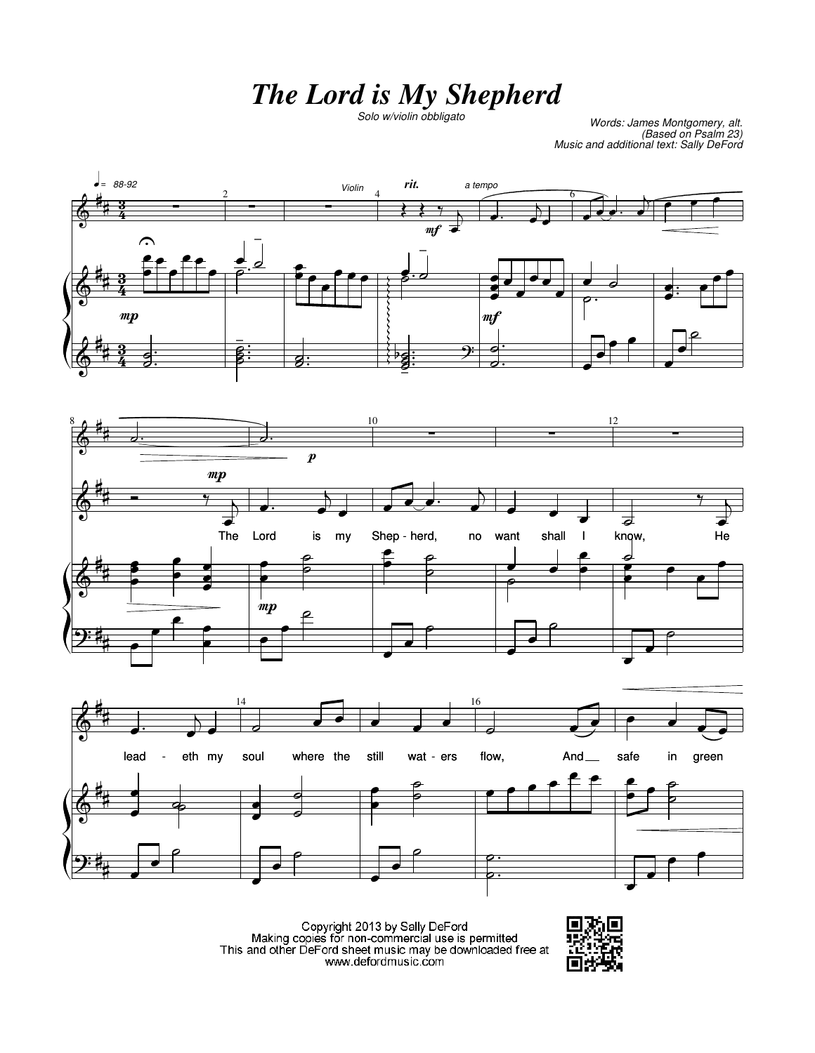## **The Lord is My Shepherd**

*Solo w/violin obbligato Words: James Montgomery, alt. (Based on Psalm 23) Music and additional text: Sally DeFord*







Copyright 2013 by Sally DeFord<br>Making copies for non-commercial use is permitted<br>This and other DeFord sheet music may be downloaded free at www.defordmusic.com

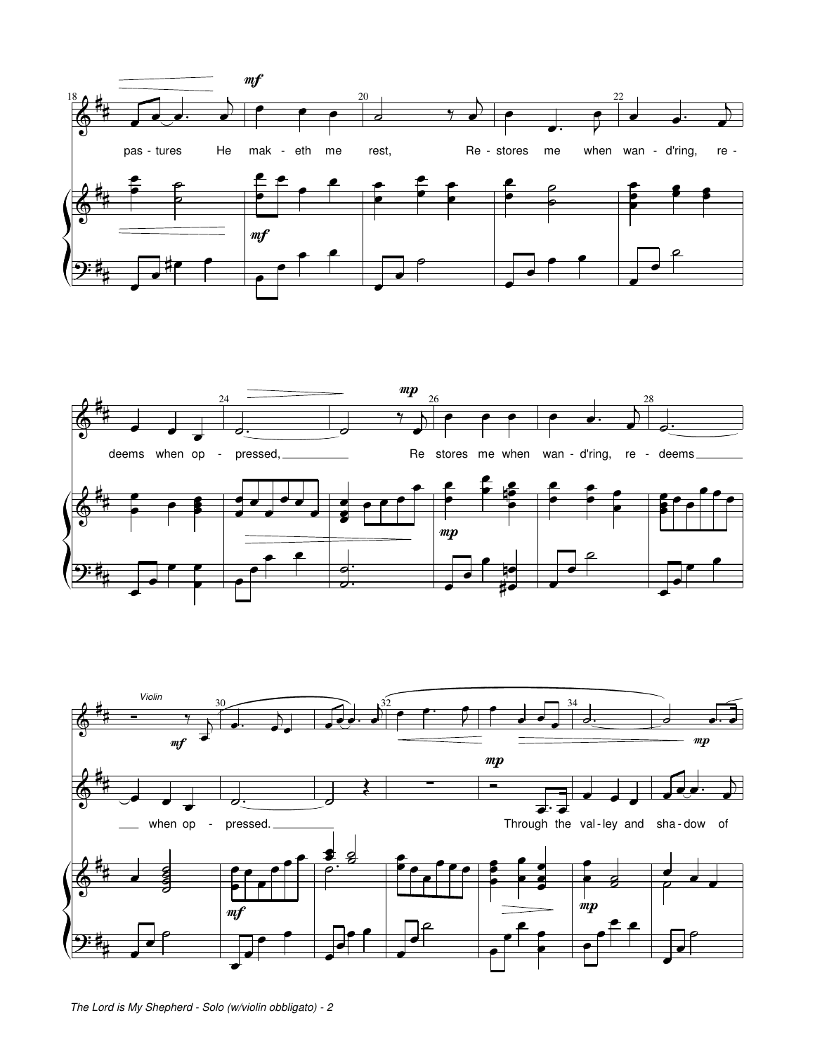



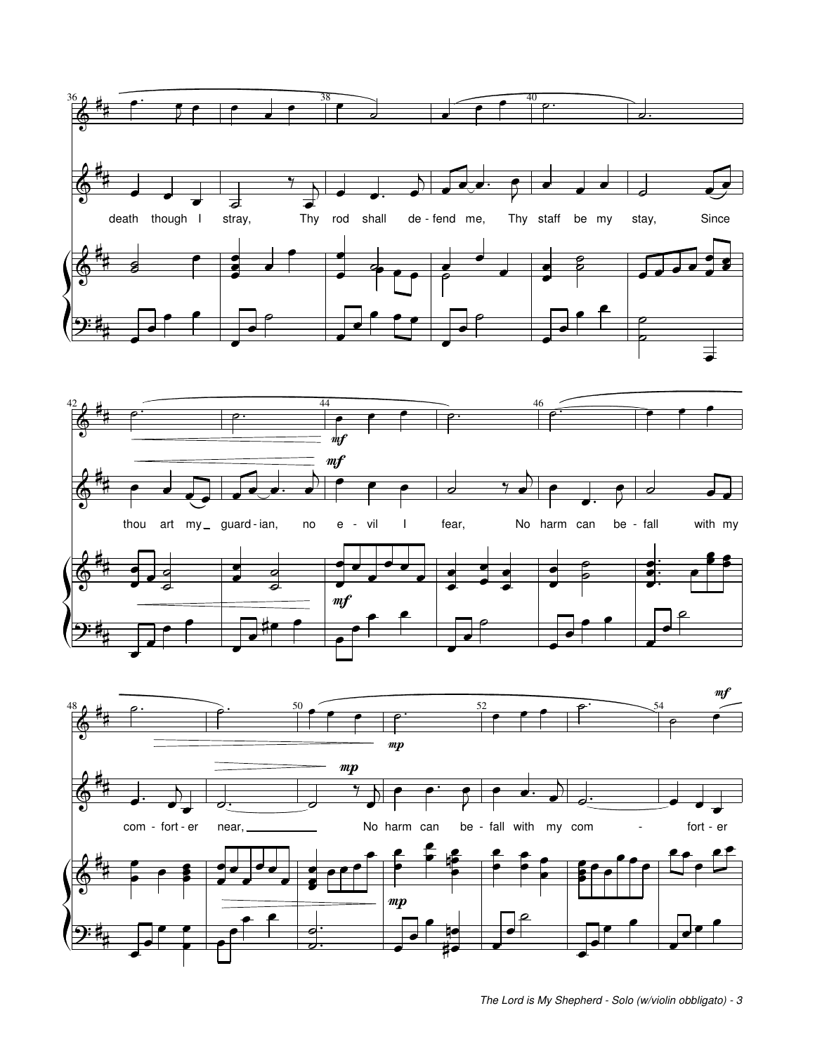





*The Lord is My Shepherd - Solo (w/violin obbligato) - 3*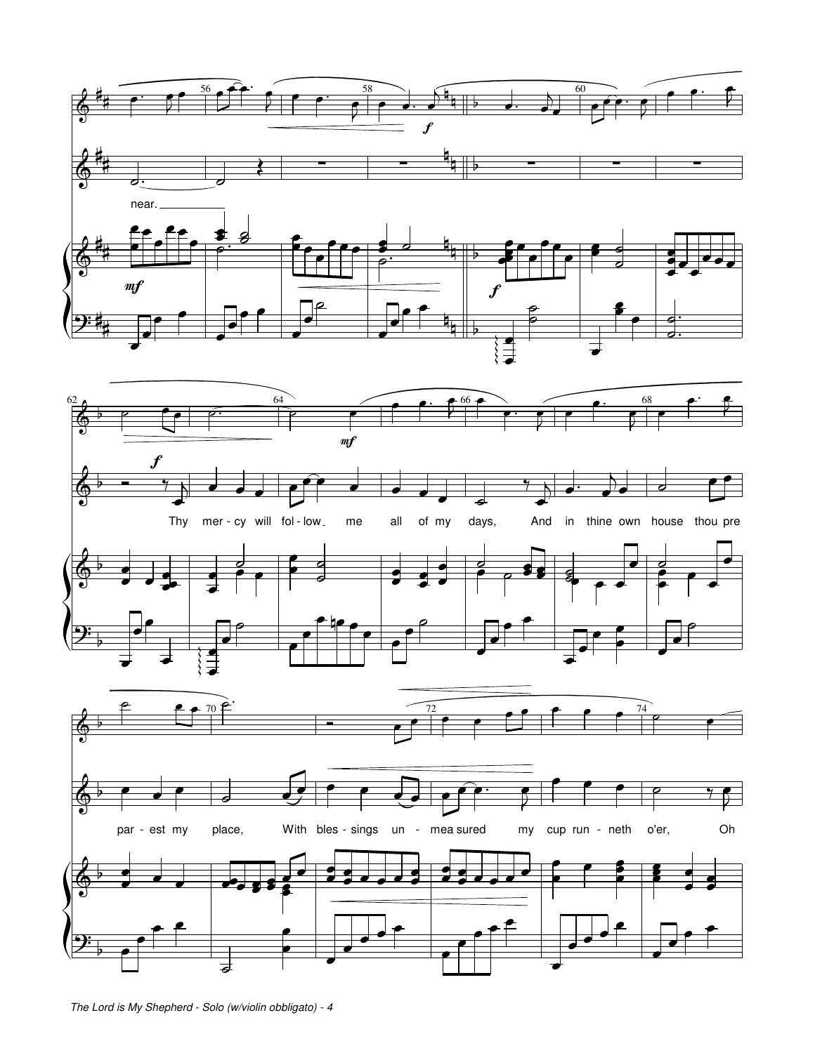

*The Lord is My Shepherd - Solo (w/violin obbligato) - 4*